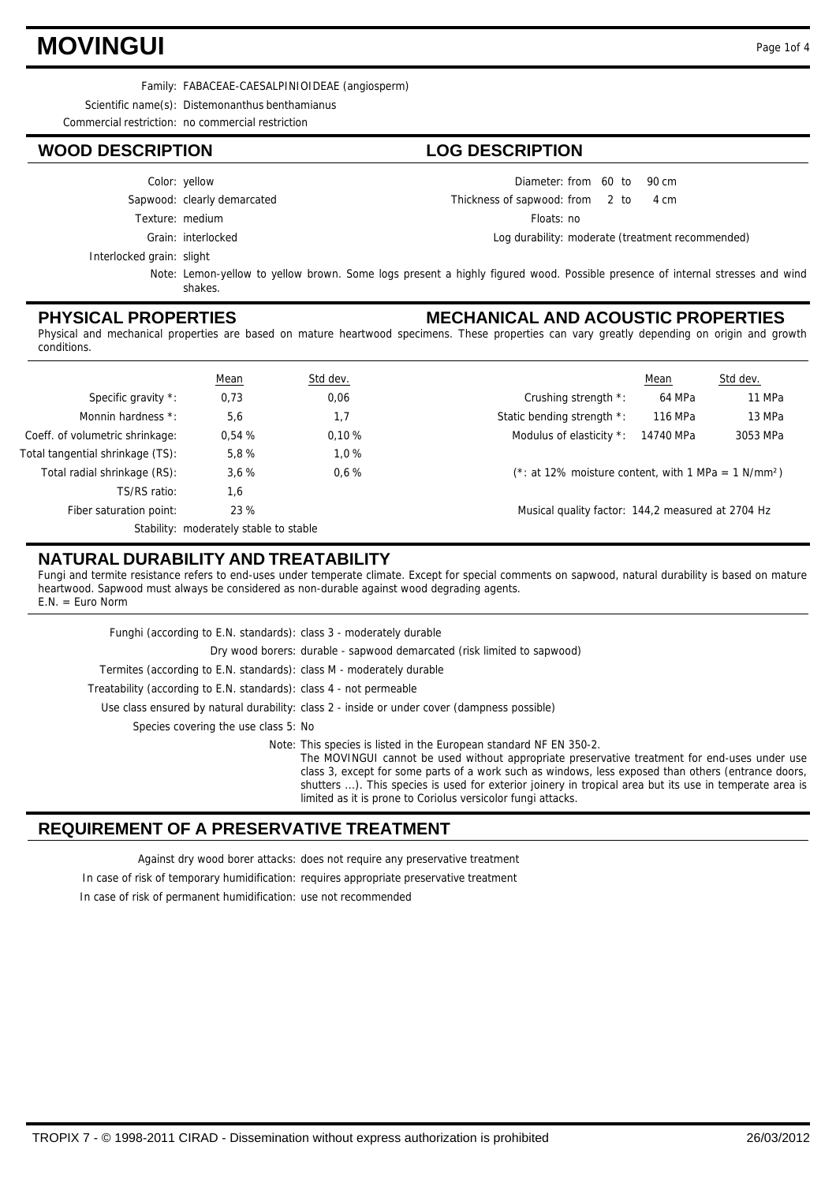## **MOVINGUI** Page 1of 4

Family: FABACEAE-CAESALPINIOIDEAE (angiosperm)

Scientific name(s): Distemonanthus benthamianus

Commercial restriction: no commercial restriction

### **WOOD DESCRIPTION LOG DESCRIPTION**

|                           | Color: yellow               | Diameter: from 60 to 90 cm           |  |                                                  |
|---------------------------|-----------------------------|--------------------------------------|--|--------------------------------------------------|
|                           | Sapwood: clearly demarcated | Thickness of sapwood: from 2 to 4 cm |  |                                                  |
|                           | Texture: medium             | Floats: no                           |  |                                                  |
|                           | Grain: interlocked          |                                      |  | Log durability: moderate (treatment recommended) |
| Interlocked grain: slight |                             |                                      |  |                                                  |

Note: Lemon-yellow to yellow brown. Some logs present a highly figured wood. Possible presence of internal stresses and wind shakes.

#### **PHYSICAL PROPERTIES**

#### **MECHANICAL AND ACOUSTIC PROPERTIES**

Physical and mechanical properties are based on mature heartwood specimens. These properties can vary greatly depending on origin and growth conditions.

|                                  | <b>Mean</b>                            | Std dev. |                                                                    | Mean      | Std dev. |
|----------------------------------|----------------------------------------|----------|--------------------------------------------------------------------|-----------|----------|
| Specific gravity *:              | 0,73                                   | 0,06     | Crushing strength *:                                               | 64 MPa    | 11 MPa   |
| Monnin hardness *:               | 5,6                                    | 1,7      | Static bending strength *:                                         | 116 MPa   | 13 MPa   |
| Coeff. of volumetric shrinkage:  | 0.54%                                  | 0.10%    | Modulus of elasticity *:                                           | 14740 MPa | 3053 MPa |
| Total tangential shrinkage (TS): | 5.8%                                   | 1.0%     |                                                                    |           |          |
| Total radial shrinkage (RS):     | 3,6%                                   | 0.6%     | $(*: at 12\%$ moisture content, with 1 MPa = 1 N/mm <sup>2</sup> ) |           |          |
| TS/RS ratio:                     | 1,6                                    |          |                                                                    |           |          |
| Fiber saturation point:          | 23 %                                   |          | Musical quality factor: 144,2 measured at 2704 Hz                  |           |          |
|                                  | Stability: moderately stable to stable |          |                                                                    |           |          |

#### **NATURAL DURABILITY AND TREATABILITY**

Fungi and termite resistance refers to end-uses under temperate climate. Except for special comments on sapwood, natural durability is based on mature heartwood. Sapwood must always be considered as non-durable against wood degrading agents. E.N. = Euro Norm

| Funghi (according to E.N. standards): class 3 - moderately durable   |                                                                                                                                                                                                                                                                                                                                                                                                                                                       |
|----------------------------------------------------------------------|-------------------------------------------------------------------------------------------------------------------------------------------------------------------------------------------------------------------------------------------------------------------------------------------------------------------------------------------------------------------------------------------------------------------------------------------------------|
|                                                                      | Dry wood borers: durable - sapwood demarcated (risk limited to sapwood)                                                                                                                                                                                                                                                                                                                                                                               |
| Termites (according to E.N. standards): class M - moderately durable |                                                                                                                                                                                                                                                                                                                                                                                                                                                       |
| Treatability (according to E.N. standards): class 4 - not permeable  |                                                                                                                                                                                                                                                                                                                                                                                                                                                       |
|                                                                      | Use class ensured by natural durability: class 2 - inside or under cover (dampness possible)                                                                                                                                                                                                                                                                                                                                                          |
| Species covering the use class 5: No                                 |                                                                                                                                                                                                                                                                                                                                                                                                                                                       |
|                                                                      | Note: This species is listed in the European standard NF EN 350-2.<br>The MOVINGUI cannot be used without appropriate preservative treatment for end-uses under use<br>class 3, except for some parts of a work such as windows, less exposed than others (entrance doors,<br>shutters ). This species is used for exterior joinery in tropical area but its use in temperate area is<br>limited as it is prone to Coriolus versicolor fungi attacks. |

### **REQUIREMENT OF A PRESERVATIVE TREATMENT**

Against dry wood borer attacks: does not require any preservative treatment In case of risk of temporary humidification: requires appropriate preservative treatment In case of risk of permanent humidification: use not recommended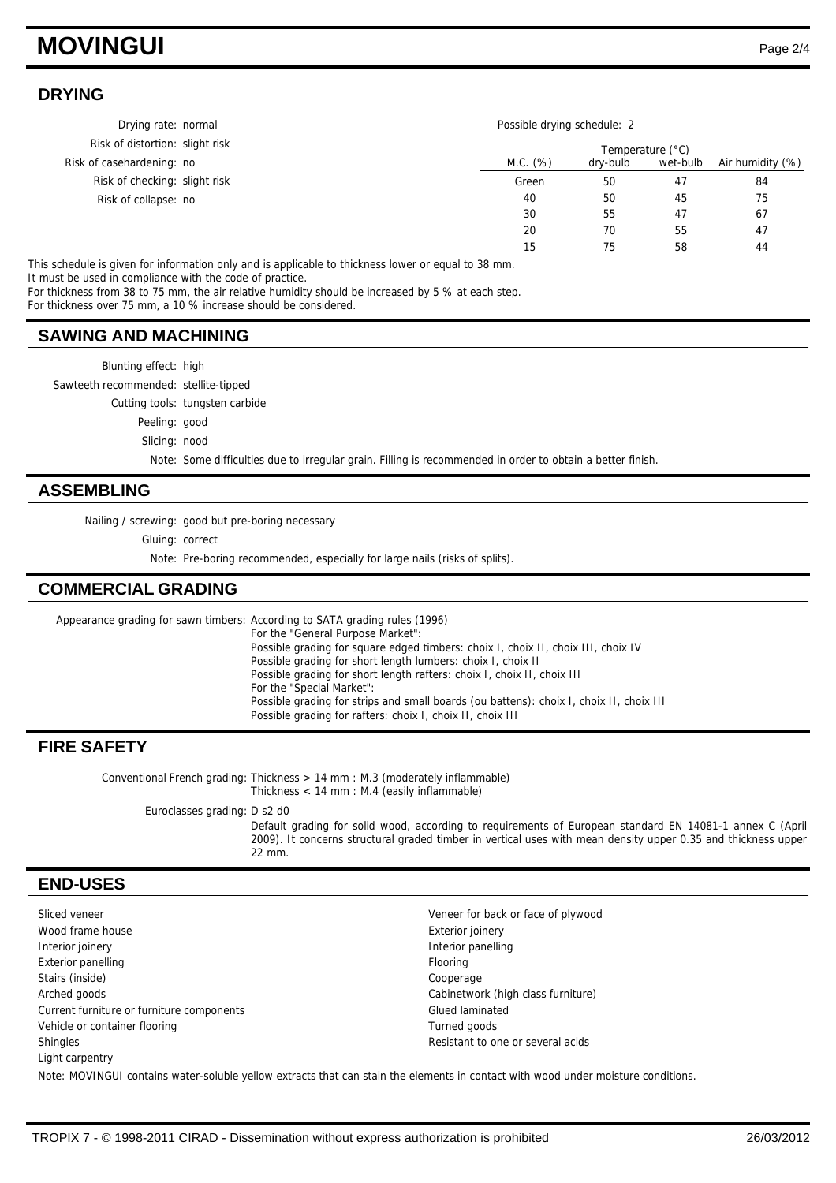## **MOVINGUI** Page 2/4

#### **DRYING**

| Drying rate: normal             | Possible drying schedule: 2 |          |          |                  |
|---------------------------------|-----------------------------|----------|----------|------------------|
| Risk of distortion: slight risk | Temperature (°C)            |          |          |                  |
| Risk of casehardening: no       | M.C. (%)                    | dry-bulb | wet-bulb | Air humidity (%) |
| Risk of checking: slight risk   | Green                       | 50       | 47       | 84               |
| Risk of collapse: no            | 40                          | 50       | 45       | 75               |
|                                 | 30                          | 55       | 47       | 67               |
|                                 | 20                          | 70       | 55       | 47               |
|                                 | 15                          | 75       | 58       | 44               |

This schedule is given for information only and is applicable to thickness lower or equal to 38 mm. It must be used in compliance with the code of practice.

For thickness from 38 to 75 mm, the air relative humidity should be increased by 5 % at each step.

For thickness over 75 mm, a 10 % increase should be considered.

#### **SAWING AND MACHINING**

| <b>ASSEMBLING</b>                     |                                                                                                            |  |
|---------------------------------------|------------------------------------------------------------------------------------------------------------|--|
|                                       | Note: Some difficulties due to irregular grain. Filling is recommended in order to obtain a better finish. |  |
| Slicing: nood                         |                                                                                                            |  |
| Peeling: good                         |                                                                                                            |  |
|                                       | Cutting tools: tungsten carbide                                                                            |  |
| Sawteeth recommended: stellite-tipped |                                                                                                            |  |
| Blunting effect: high                 |                                                                                                            |  |
|                                       |                                                                                                            |  |

Nailing / screwing: good but pre-boring necessary

Gluing: correct

Note: Pre-boring recommended, especially for large nails (risks of splits).

### **COMMERCIAL GRADING**

Appearance grading for sawn timbers: According to SATA grading rules (1996) For the "General Purpose Market": Possible grading for square edged timbers: choix I, choix II, choix III, choix IV Possible grading for short length lumbers: choix I, choix II Possible grading for short length rafters: choix I, choix II, choix III For the "Special Market": Possible grading for strips and small boards (ou battens): choix I, choix II, choix III Possible grading for rafters: choix I, choix II, choix III

### **FIRE SAFETY**

Conventional French grading: Thickness > 14 mm : M.3 (moderately inflammable) Thickness < 14 mm : M.4 (easily inflammable) Euroclasses grading: D s2 d0 Default grading for solid wood, according to requirements of European standard EN 14081-1 annex C (April 2009). It concerns structural graded timber in vertical uses with mean density upper 0.35 and thickness upper 22 mm.

### **END-USES**

Sliced veneer **Veneer for back or face of plywood** Veneer for back or face of plywood Wood frame house **Exterior** joinery Interior joinery **Interior panelling** Exterior panelling Flooring Flooring Flooring Flooring Flooring Flooring Flooring Stairs (inside) Cooperage Arched goods Cabinetwork (high class furniture) Current furniture or furniture components Glued laminated Vehicle or container flooring Turned goods Turned goods Shingles **Shingles Shingles Resistant to one or several acids Resistant to one or several acids** Light carpentry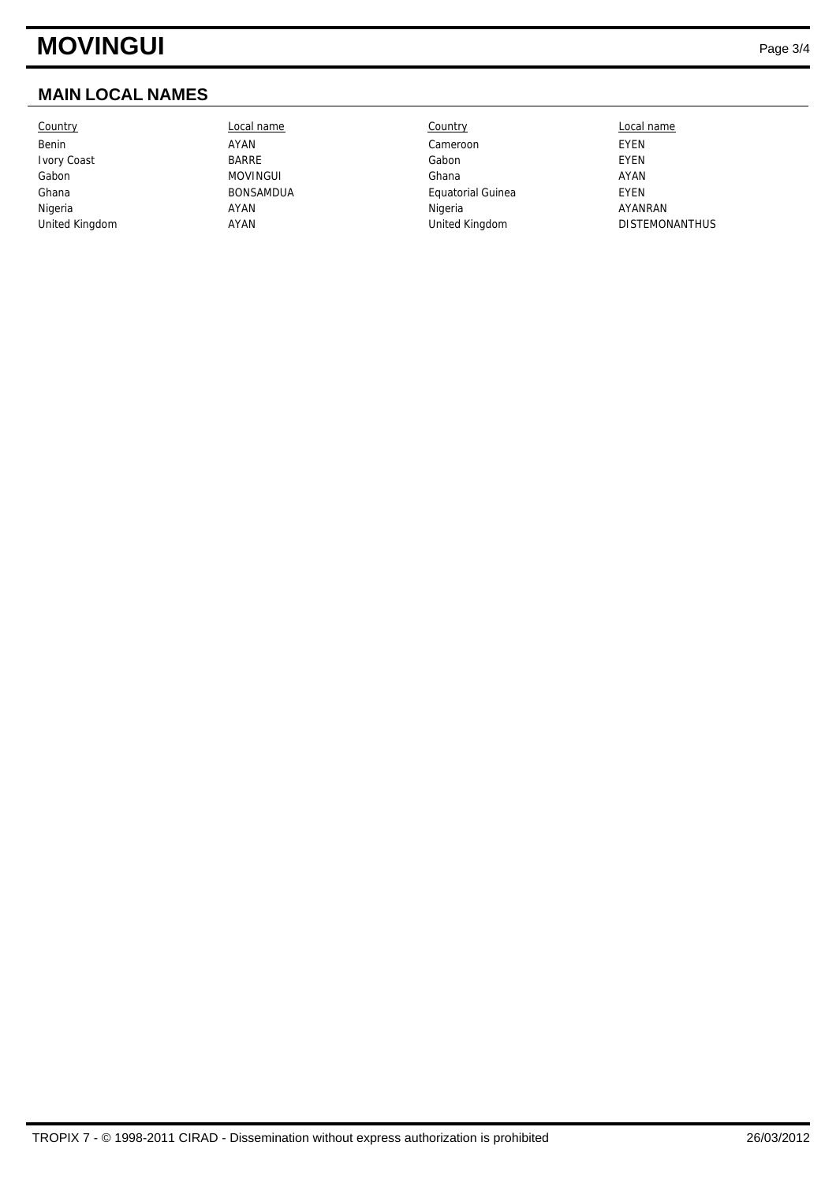## **MOVINGUI** Page 3/4

## **MAIN LOCAL NAMES**

Country Local name Country Local name

Benin AYAN Cameroon EYEN Ivory Coast BARRE Gabon EYEN Gabon MOVINGUI Ghana AYAN Ghana **BONSAMDUA** BONSAMDUA Equatorial Guinea Nigeria AYAN Nigeria AYANRAN United Kingdom **AYAN** AYAN United Kingdom DISTEMONANTHUS